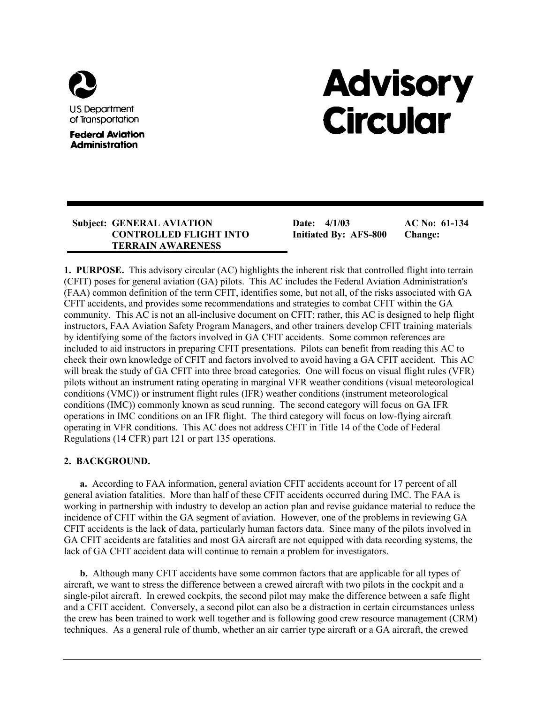

**Federal Aviation Administration** 

# **Advisory Circular**

# **Subject: GENERAL AVIATION CONTROLLED FLIGHT INTO TERRAIN AWARENESS**

**Date: 4/1/03 Initiated By: AFS-800 AC No: 61-134 Change:**

**1. PURPOSE.** This advisory circular (AC) highlights the inherent risk that controlled flight into terrain (CFIT) poses for general aviation (GA) pilots. This AC includes the Federal Aviation Administration's (FAA) common definition of the term CFIT, identifies some, but not all, of the risks associated with GA CFIT accidents, and provides some recommendations and strategies to combat CFIT within the GA community. This AC is not an all-inclusive document on CFIT; rather, this AC is designed to help flight instructors, FAA Aviation Safety Program Managers, and other trainers develop CFIT training materials by identifying some of the factors involved in GA CFIT accidents. Some common references are included to aid instructors in preparing CFIT presentations. Pilots can benefit from reading this AC to check their own knowledge of CFIT and factors involved to avoid having a GA CFIT accident. This AC will break the study of GA CFIT into three broad categories. One will focus on visual flight rules (VFR) pilots without an instrument rating operating in marginal VFR weather conditions (visual meteorological conditions (VMC)) or instrument flight rules (IFR) weather conditions (instrument meteorological conditions (IMC)) commonly known as scud running. The second category will focus on GA IFR operations in IMC conditions on an IFR flight. The third category will focus on low-flying aircraft operating in VFR conditions. This AC does not address CFIT in Title 14 of the Code of Federal Regulations (14 CFR) part 121 or part 135 operations.

# **2. BACKGROUND.**

**a.** According to FAA information, general aviation CFIT accidents account for 17 percent of all general aviation fatalities. More than half of these CFIT accidents occurred during IMC. The FAA is working in partnership with industry to develop an action plan and revise guidance material to reduce the incidence of CFIT within the GA segment of aviation. However, one of the problems in reviewing GA CFIT accidents is the lack of data, particularly human factors data. Since many of the pilots involved in GA CFIT accidents are fatalities and most GA aircraft are not equipped with data recording systems, the lack of GA CFIT accident data will continue to remain a problem for investigators.

**b.** Although many CFIT accidents have some common factors that are applicable for all types of aircraft, we want to stress the difference between a crewed aircraft with two pilots in the cockpit and a single-pilot aircraft. In crewed cockpits, the second pilot may make the difference between a safe flight and a CFIT accident. Conversely, a second pilot can also be a distraction in certain circumstances unless the crew has been trained to work well together and is following good crew resource management (CRM) techniques. As a general rule of thumb, whether an air carrier type aircraft or a GA aircraft, the crewed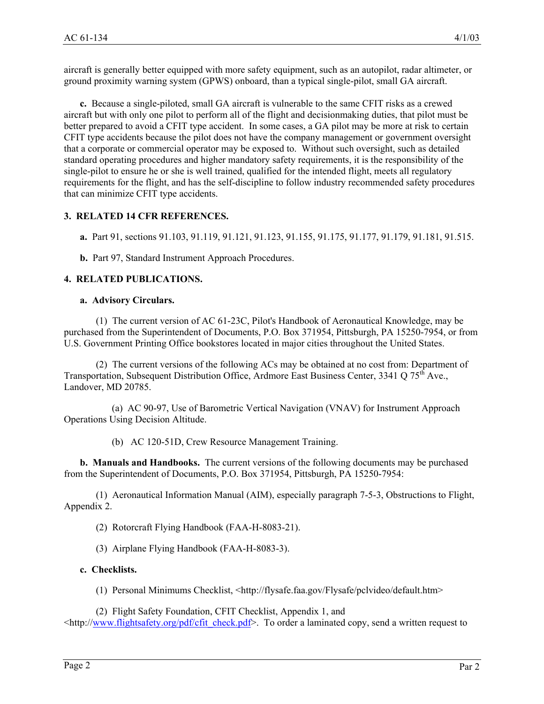aircraft is generally better equipped with more safety equipment, such as an autopilot, radar altimeter, or ground proximity warning system (GPWS) onboard, than a typical single-pilot, small GA aircraft.

**c.** Because a single-piloted, small GA aircraft is vulnerable to the same CFIT risks as a crewed aircraft but with only one pilot to perform all of the flight and decisionmaking duties, that pilot must be better prepared to avoid a CFIT type accident. In some cases, a GA pilot may be more at risk to certain CFIT type accidents because the pilot does not have the company management or government oversight that a corporate or commercial operator may be exposed to. Without such oversight, such as detailed standard operating procedures and higher mandatory safety requirements, it is the responsibility of the single-pilot to ensure he or she is well trained, qualified for the intended flight, meets all regulatory requirements for the flight, and has the self-discipline to follow industry recommended safety procedures that can minimize CFIT type accidents.

#### **3. RELATED 14 CFR REFERENCES.**

**a.** Part 91, sections 91.103, 91.119, 91.121, 91.123, 91.155, 91.175, 91.177, 91.179, 91.181, 91.515.

**b.** Part 97, Standard Instrument Approach Procedures.

#### **4. RELATED PUBLICATIONS.**

#### **a. Advisory Circulars.**

(1) The current version of AC 61-23C, Pilot's Handbook of Aeronautical Knowledge, may be purchased from the Superintendent of Documents, P.O. Box 371954, Pittsburgh, PA 15250-7954, or from U.S. Government Printing Office bookstores located in major cities throughout the United States.

(2) The current versions of the following ACs may be obtained at no cost from: Department of Transportation, Subsequent Distribution Office, Ardmore East Business Center, 3341 Q 75th Ave., Landover, MD 20785.

(a) AC 90-97, Use of Barometric Vertical Navigation (VNAV) for Instrument Approach Operations Using Decision Altitude.

(b) AC 120-51D, Crew Resource Management Training.

**b. Manuals and Handbooks.** The current versions of the following documents may be purchased from the Superintendent of Documents, P.O. Box 371954, Pittsburgh, PA 15250-7954:

(1) Aeronautical Information Manual (AIM), especially paragraph 7-5-3, Obstructions to Flight, Appendix 2.

(2) Rotorcraft Flying Handbook (FAA-H-8083-21).

(3) Airplane Flying Handbook (FAA-H-8083-3).

# **c. Checklists.**

(1) Personal Minimums Checklist, <http://flysafe.faa.gov/Flysafe/pclvideo/default.htm>

(2) Flight Safety Foundation, CFIT Checklist, Appendix 1, and  $\langle \text{http://www.flightsafety.org/pdf/eff} \text{check.pdf} \rangle$ . To order a laminated copy, send a written request to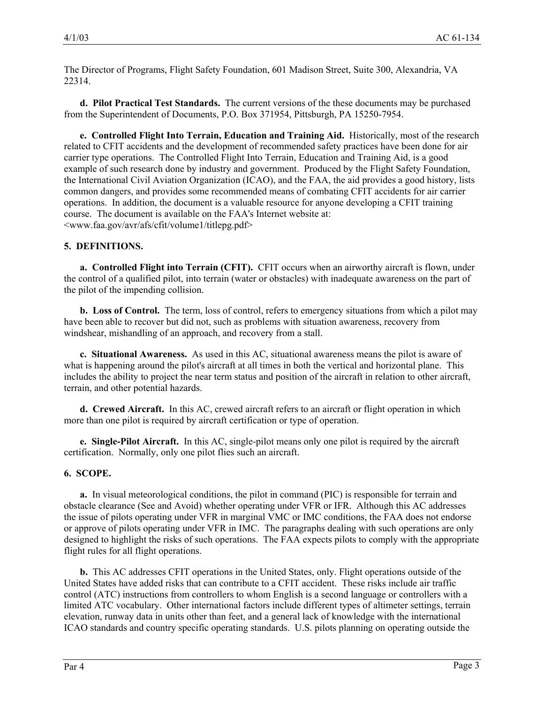The Director of Programs, Flight Safety Foundation, 601 Madison Street, Suite 300, Alexandria, VA 22314.

**d. Pilot Practical Test Standards.** The current versions of the these documents may be purchased from the Superintendent of Documents, P.O. Box 371954, Pittsburgh, PA 15250-7954.

**e. Controlled Flight Into Terrain, Education and Training Aid.** Historically, most of the research related to CFIT accidents and the development of recommended safety practices have been done for air carrier type operations. The Controlled Flight Into Terrain, Education and Training Aid, is a good example of such research done by industry and government. Produced by the Flight Safety Foundation, the International Civil Aviation Organization (ICAO), and the FAA, the aid provides a good history, lists common dangers, and provides some recommended means of combating CFIT accidents for air carrier operations. In addition, the document is a valuable resource for anyone developing a CFIT training course. The document is available on the FAA's Internet website at: <www.faa.gov/avr/afs/cfit/volume1/titlepg.pdf>

#### **5. DEFINITIONS.**

**a. Controlled Flight into Terrain (CFIT).** CFIT occurs when an airworthy aircraft is flown, under the control of a qualified pilot, into terrain (water or obstacles) with inadequate awareness on the part of the pilot of the impending collision.

**b. Loss of Control.** The term, loss of control, refers to emergency situations from which a pilot may have been able to recover but did not, such as problems with situation awareness, recovery from windshear, mishandling of an approach, and recovery from a stall.

**c. Situational Awareness.** As used in this AC, situational awareness means the pilot is aware of what is happening around the pilot's aircraft at all times in both the vertical and horizontal plane. This includes the ability to project the near term status and position of the aircraft in relation to other aircraft, terrain, and other potential hazards.

**d. Crewed Aircraft.** In this AC, crewed aircraft refers to an aircraft or flight operation in which more than one pilot is required by aircraft certification or type of operation.

**e. Single-Pilot Aircraft.** In this AC, single-pilot means only one pilot is required by the aircraft certification. Normally, only one pilot flies such an aircraft.

#### **6. SCOPE.**

**a.** In visual meteorological conditions, the pilot in command (PIC) is responsible for terrain and obstacle clearance (See and Avoid) whether operating under VFR or IFR. Although this AC addresses the issue of pilots operating under VFR in marginal VMC or IMC conditions, the FAA does not endorse or approve of pilots operating under VFR in IMC. The paragraphs dealing with such operations are only designed to highlight the risks of such operations. The FAA expects pilots to comply with the appropriate flight rules for all flight operations.

**b.** This AC addresses CFIT operations in the United States, only. Flight operations outside of the United States have added risks that can contribute to a CFIT accident. These risks include air traffic control (ATC) instructions from controllers to whom English is a second language or controllers with a limited ATC vocabulary. Other international factors include different types of altimeter settings, terrain elevation, runway data in units other than feet, and a general lack of knowledge with the international ICAO standards and country specific operating standards. U.S. pilots planning on operating outside the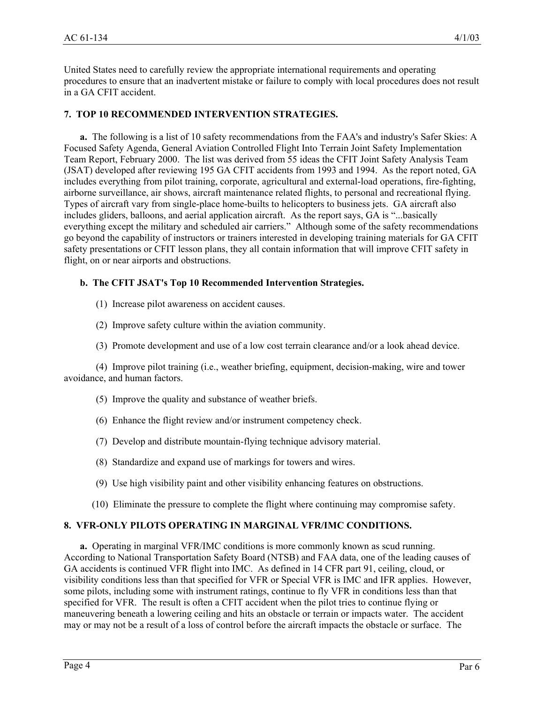United States need to carefully review the appropriate international requirements and operating procedures to ensure that an inadvertent mistake or failure to comply with local procedures does not result in a GA CFIT accident.

#### **7. TOP 10 RECOMMENDED INTERVENTION STRATEGIES.**

**a.** The following is a list of 10 safety recommendations from the FAA's and industry's Safer Skies: A Focused Safety Agenda, General Aviation Controlled Flight Into Terrain Joint Safety Implementation Team Report, February 2000. The list was derived from 55 ideas the CFIT Joint Safety Analysis Team (JSAT) developed after reviewing 195 GA CFIT accidents from 1993 and 1994. As the report noted, GA includes everything from pilot training, corporate, agricultural and external-load operations, fire-fighting, airborne surveillance, air shows, aircraft maintenance related flights, to personal and recreational flying. Types of aircraft vary from single-place home-builts to helicopters to business jets. GA aircraft also includes gliders, balloons, and aerial application aircraft. As the report says, GA is "...basically everything except the military and scheduled air carriers." Although some of the safety recommendations go beyond the capability of instructors or trainers interested in developing training materials for GA CFIT safety presentations or CFIT lesson plans, they all contain information that will improve CFIT safety in flight, on or near airports and obstructions.

#### **b. The CFIT JSAT's Top 10 Recommended Intervention Strategies.**

- (1) Increase pilot awareness on accident causes.
- (2) Improve safety culture within the aviation community.
- (3) Promote development and use of a low cost terrain clearance and/or a look ahead device.

(4) Improve pilot training (i.e., weather briefing, equipment, decision-making, wire and tower avoidance, and human factors.

- (5) Improve the quality and substance of weather briefs.
- (6) Enhance the flight review and/or instrument competency check.
- (7) Develop and distribute mountain-flying technique advisory material.
- (8) Standardize and expand use of markings for towers and wires.
- (9) Use high visibility paint and other visibility enhancing features on obstructions.
- (10) Eliminate the pressure to complete the flight where continuing may compromise safety.

#### **8. VFR-ONLY PILOTS OPERATING IN MARGINAL VFR/IMC CONDITIONS.**

**a.** Operating in marginal VFR/IMC conditions is more commonly known as scud running. According to National Transportation Safety Board (NTSB) and FAA data, one of the leading causes of GA accidents is continued VFR flight into IMC. As defined in 14 CFR part 91, ceiling, cloud, or visibility conditions less than that specified for VFR or Special VFR is IMC and IFR applies. However, some pilots, including some with instrument ratings, continue to fly VFR in conditions less than that specified for VFR. The result is often a CFIT accident when the pilot tries to continue flying or maneuvering beneath a lowering ceiling and hits an obstacle or terrain or impacts water. The accident may or may not be a result of a loss of control before the aircraft impacts the obstacle or surface. The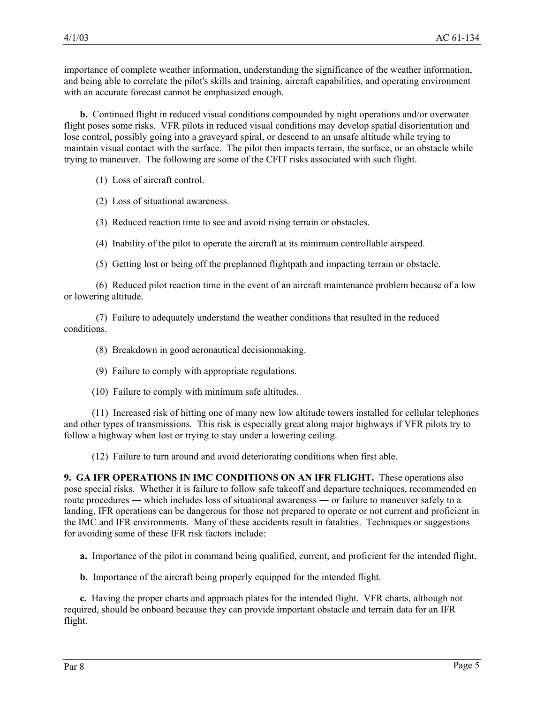importance of complete weather information, understanding the significance of the weather information, and being able to correlate the pilot's skills and training, aircraft capabilities, and operating environment with an accurate forecast cannot be emphasized enough.

**b.** Continued flight in reduced visual conditions compounded by night operations and/or overwater flight poses some risks. VFR pilots in reduced visual conditions may develop spatial disorientation and lose control, possibly going into a graveyard spiral, or descend to an unsafe altitude while trying to maintain visual contact with the surface. The pilot then impacts terrain, the surface, or an obstacle while trying to maneuver. The following are some of the CFIT risks associated with such flight.

(1) Loss of aircraft control.

(2) Loss of situational awareness.

(3) Reduced reaction time to see and avoid rising terrain or obstacles.

- (4) Inability of the pilot to operate the aircraft at its minimum controllable airspeed.
- (5) Getting lost or being off the preplanned flightpath and impacting terrain or obstacle.

(6) Reduced pilot reaction time in the event of an aircraft maintenance problem because of a low or lowering altitude.

(7) Failure to adequately understand the weather conditions that resulted in the reduced conditions.

- (8) Breakdown in good aeronautical decisionmaking.
- (9) Failure to comply with appropriate regulations.
- (10) Failure to comply with minimum safe altitudes.

(11) Increased risk of hitting one of many new low altitude towers installed for cellular telephones and other types of transmissions. This risk is especially great along major highways if VFR pilots try to follow a highway when lost or trying to stay under a lowering ceiling.

(12) Failure to turn around and avoid deteriorating conditions when first able.

**9. GA IFR OPERATIONS IN IMC CONDITIONS ON AN IFR FLIGHT.** These operations also pose special risks. Whether it is failure to follow safe takeoff and departure techniques, recommended en route procedures — which includes loss of situational awareness — or failure to maneuver safely to a landing, IFR operations can be dangerous for those not prepared to operate or not current and proficient in the IMC and IFR environments. Many of these accidents result in fatalities. Techniques or suggestions for avoiding some of these IFR risk factors include:

**a.** Importance of the pilot in command being qualified, current, and proficient for the intended flight.

**b.** Importance of the aircraft being properly equipped for the intended flight.

**c.** Having the proper charts and approach plates for the intended flight. VFR charts, although not required, should be onboard because they can provide important obstacle and terrain data for an IFR flight.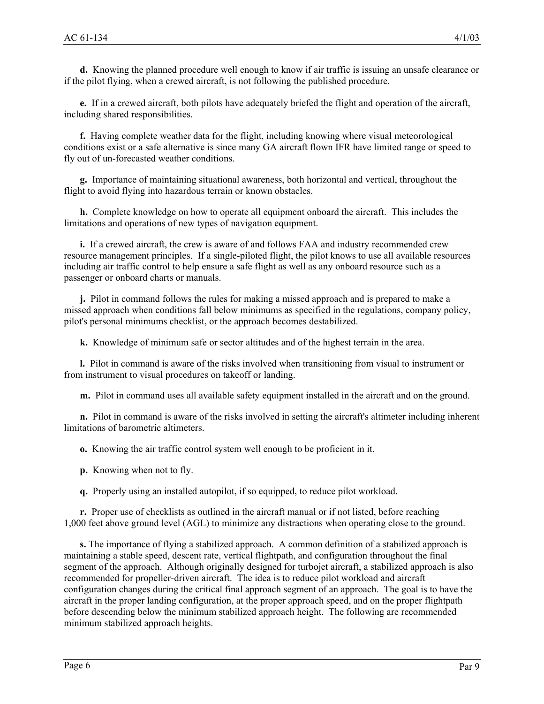**d.** Knowing the planned procedure well enough to know if air traffic is issuing an unsafe clearance or if the pilot flying, when a crewed aircraft, is not following the published procedure.

**e.** If in a crewed aircraft, both pilots have adequately briefed the flight and operation of the aircraft, including shared responsibilities.

**f.** Having complete weather data for the flight, including knowing where visual meteorological conditions exist or a safe alternative is since many GA aircraft flown IFR have limited range or speed to fly out of un-forecasted weather conditions.

**g.** Importance of maintaining situational awareness, both horizontal and vertical, throughout the flight to avoid flying into hazardous terrain or known obstacles.

**h.** Complete knowledge on how to operate all equipment onboard the aircraft. This includes the limitations and operations of new types of navigation equipment.

**i.** If a crewed aircraft, the crew is aware of and follows FAA and industry recommended crew resource management principles. If a single-piloted flight, the pilot knows to use all available resources including air traffic control to help ensure a safe flight as well as any onboard resource such as a passenger or onboard charts or manuals.

**j.** Pilot in command follows the rules for making a missed approach and is prepared to make a missed approach when conditions fall below minimums as specified in the regulations, company policy, pilot's personal minimums checklist, or the approach becomes destabilized.

**k.** Knowledge of minimum safe or sector altitudes and of the highest terrain in the area.

**l.** Pilot in command is aware of the risks involved when transitioning from visual to instrument or from instrument to visual procedures on takeoff or landing.

**m.** Pilot in command uses all available safety equipment installed in the aircraft and on the ground.

**n.** Pilot in command is aware of the risks involved in setting the aircraft's altimeter including inherent limitations of barometric altimeters.

**o.** Knowing the air traffic control system well enough to be proficient in it.

**p.** Knowing when not to fly.

**q.** Properly using an installed autopilot, if so equipped, to reduce pilot workload.

**r.** Proper use of checklists as outlined in the aircraft manual or if not listed, before reaching 1,000 feet above ground level (AGL) to minimize any distractions when operating close to the ground.

**s.** The importance of flying a stabilized approach. A common definition of a stabilized approach is maintaining a stable speed, descent rate, vertical flightpath, and configuration throughout the final segment of the approach. Although originally designed for turbojet aircraft, a stabilized approach is also recommended for propeller-driven aircraft. The idea is to reduce pilot workload and aircraft configuration changes during the critical final approach segment of an approach. The goal is to have the aircraft in the proper landing configuration, at the proper approach speed, and on the proper flightpath before descending below the minimum stabilized approach height. The following are recommended minimum stabilized approach heights.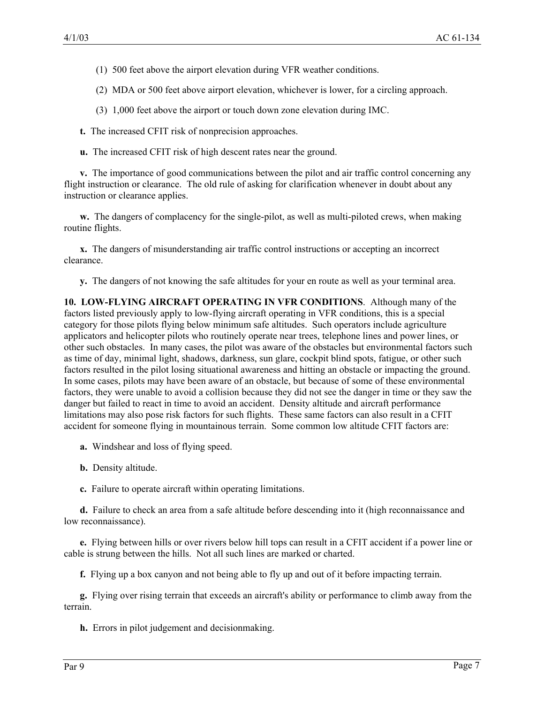- (1) 500 feet above the airport elevation during VFR weather conditions.
- (2) MDA or 500 feet above airport elevation, whichever is lower, for a circling approach.
- (3) 1,000 feet above the airport or touch down zone elevation during IMC.
- **t.** The increased CFIT risk of nonprecision approaches.
- **u.** The increased CFIT risk of high descent rates near the ground.

**v.** The importance of good communications between the pilot and air traffic control concerning any flight instruction or clearance. The old rule of asking for clarification whenever in doubt about any instruction or clearance applies.

**w.** The dangers of complacency for the single-pilot, as well as multi-piloted crews, when making routine flights.

**x.** The dangers of misunderstanding air traffic control instructions or accepting an incorrect clearance.

**y.** The dangers of not knowing the safe altitudes for your en route as well as your terminal area.

**10. LOW-FLYING AIRCRAFT OPERATING IN VFR CONDITIONS**. Although many of the factors listed previously apply to low-flying aircraft operating in VFR conditions, this is a special category for those pilots flying below minimum safe altitudes. Such operators include agriculture applicators and helicopter pilots who routinely operate near trees, telephone lines and power lines, or other such obstacles. In many cases, the pilot was aware of the obstacles but environmental factors such as time of day, minimal light, shadows, darkness, sun glare, cockpit blind spots, fatigue, or other such factors resulted in the pilot losing situational awareness and hitting an obstacle or impacting the ground. In some cases, pilots may have been aware of an obstacle, but because of some of these environmental factors, they were unable to avoid a collision because they did not see the danger in time or they saw the danger but failed to react in time to avoid an accident. Density altitude and aircraft performance limitations may also pose risk factors for such flights. These same factors can also result in a CFIT accident for someone flying in mountainous terrain. Some common low altitude CFIT factors are:

- **a.** Windshear and loss of flying speed.
- **b.** Density altitude.
- **c.** Failure to operate aircraft within operating limitations.

**d.** Failure to check an area from a safe altitude before descending into it (high reconnaissance and low reconnaissance).

**e.** Flying between hills or over rivers below hill tops can result in a CFIT accident if a power line or cable is strung between the hills. Not all such lines are marked or charted.

**f.** Flying up a box canyon and not being able to fly up and out of it before impacting terrain.

**g.** Flying over rising terrain that exceeds an aircraft's ability or performance to climb away from the terrain.

**h.** Errors in pilot judgement and decisionmaking.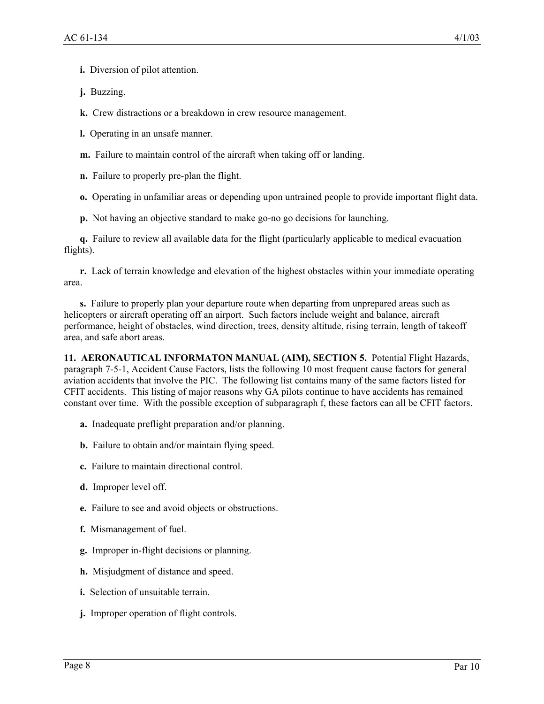**i.** Diversion of pilot attention.

**j.** Buzzing.

**k.** Crew distractions or a breakdown in crew resource management.

**l.** Operating in an unsafe manner.

**m.** Failure to maintain control of the aircraft when taking off or landing.

**n.** Failure to properly pre-plan the flight.

**o.** Operating in unfamiliar areas or depending upon untrained people to provide important flight data.

**p.** Not having an objective standard to make go-no go decisions for launching.

**q.** Failure to review all available data for the flight (particularly applicable to medical evacuation flights).

**r.** Lack of terrain knowledge and elevation of the highest obstacles within your immediate operating area.

**s.** Failure to properly plan your departure route when departing from unprepared areas such as helicopters or aircraft operating off an airport. Such factors include weight and balance, aircraft performance, height of obstacles, wind direction, trees, density altitude, rising terrain, length of takeoff area, and safe abort areas.

**11. AERONAUTICAL INFORMATON MANUAL (AIM), SECTION 5.** Potential Flight Hazards, paragraph 7-5-1, Accident Cause Factors, lists the following 10 most frequent cause factors for general aviation accidents that involve the PIC. The following list contains many of the same factors listed for CFIT accidents. This listing of major reasons why GA pilots continue to have accidents has remained constant over time. With the possible exception of subparagraph f, these factors can all be CFIT factors.

- **a.** Inadequate preflight preparation and/or planning.
- **b.** Failure to obtain and/or maintain flying speed.
- **c.** Failure to maintain directional control.
- **d.** Improper level off.
- **e.** Failure to see and avoid objects or obstructions.
- **f.** Mismanagement of fuel.
- **g.** Improper in-flight decisions or planning.
- **h.** Misjudgment of distance and speed.
- **i.** Selection of unsuitable terrain.
- **j.** Improper operation of flight controls.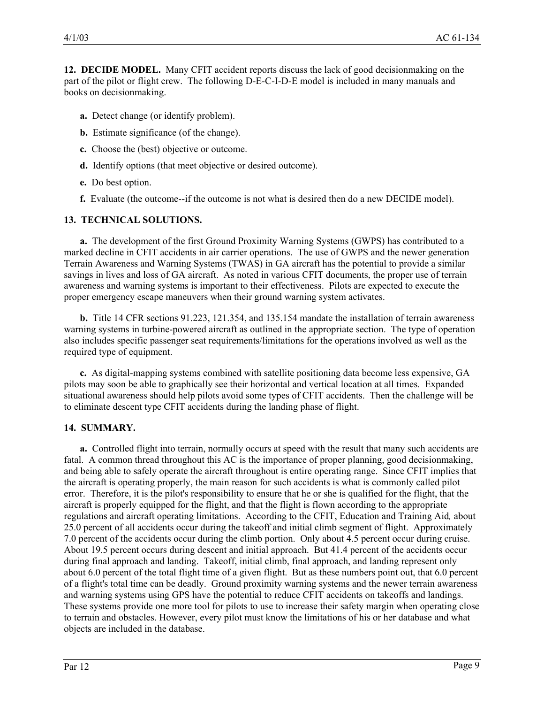**12. DECIDE MODEL.** Many CFIT accident reports discuss the lack of good decisionmaking on the part of the pilot or flight crew. The following D-E-C-I-D-E model is included in many manuals and books on decisionmaking.

- **a.** Detect change (or identify problem).
- **b.** Estimate significance (of the change).
- **c.** Choose the (best) objective or outcome.
- **d.** Identify options (that meet objective or desired outcome).
- **e.** Do best option.
- **f.** Evaluate (the outcome--if the outcome is not what is desired then do a new DECIDE model).

#### **13. TECHNICAL SOLUTIONS.**

**a.** The development of the first Ground Proximity Warning Systems (GWPS) has contributed to a marked decline in CFIT accidents in air carrier operations. The use of GWPS and the newer generation Terrain Awareness and Warning Systems (TWAS) in GA aircraft has the potential to provide a similar savings in lives and loss of GA aircraft. As noted in various CFIT documents, the proper use of terrain awareness and warning systems is important to their effectiveness. Pilots are expected to execute the proper emergency escape maneuvers when their ground warning system activates.

**b.** Title 14 CFR sections 91.223, 121.354, and 135.154 mandate the installation of terrain awareness warning systems in turbine-powered aircraft as outlined in the appropriate section. The type of operation also includes specific passenger seat requirements/limitations for the operations involved as well as the required type of equipment.

**c.** As digital-mapping systems combined with satellite positioning data become less expensive, GA pilots may soon be able to graphically see their horizontal and vertical location at all times. Expanded situational awareness should help pilots avoid some types of CFIT accidents. Then the challenge will be to eliminate descent type CFIT accidents during the landing phase of flight.

#### **14. SUMMARY.**

**a.** Controlled flight into terrain, normally occurs at speed with the result that many such accidents are fatal. A common thread throughout this AC is the importance of proper planning, good decisionmaking, and being able to safely operate the aircraft throughout is entire operating range. Since CFIT implies that the aircraft is operating properly, the main reason for such accidents is what is commonly called pilot error. Therefore, it is the pilot's responsibility to ensure that he or she is qualified for the flight, that the aircraft is properly equipped for the flight, and that the flight is flown according to the appropriate regulations and aircraft operating limitations. According to the CFIT, Education and Training Aid*,* about 25.0 percent of all accidents occur during the takeoff and initial climb segment of flight. Approximately 7.0 percent of the accidents occur during the climb portion. Only about 4.5 percent occur during cruise. About 19.5 percent occurs during descent and initial approach. But 41.4 percent of the accidents occur during final approach and landing. Takeoff, initial climb, final approach, and landing represent only about 6.0 percent of the total flight time of a given flight. But as these numbers point out, that 6.0 percent of a flight's total time can be deadly. Ground proximity warning systems and the newer terrain awareness and warning systems using GPS have the potential to reduce CFIT accidents on takeoffs and landings. These systems provide one more tool for pilots to use to increase their safety margin when operating close to terrain and obstacles. However, every pilot must know the limitations of his or her database and what objects are included in the database.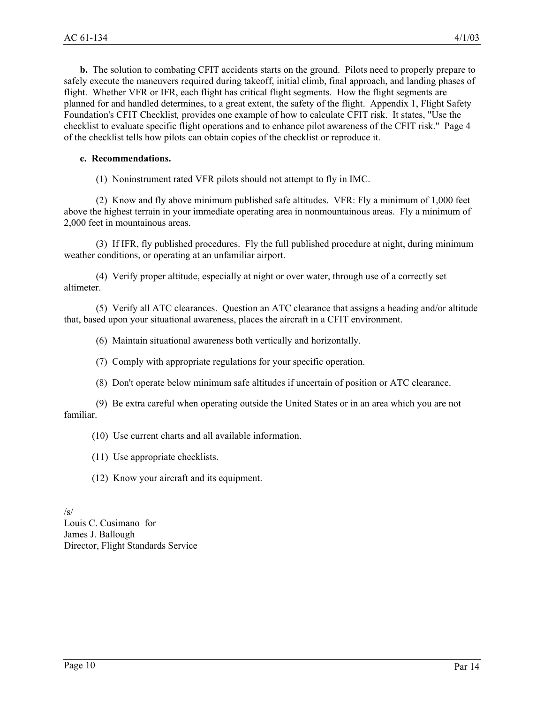**b.** The solution to combating CFIT accidents starts on the ground. Pilots need to properly prepare to safely execute the maneuvers required during takeoff, initial climb, final approach, and landing phases of flight. Whether VFR or IFR, each flight has critical flight segments. How the flight segments are planned for and handled determines, to a great extent, the safety of the flight. Appendix 1, Flight Safety Foundation's CFIT Checklist*,* provides one example of how to calculate CFIT risk. It states, "Use the checklist to evaluate specific flight operations and to enhance pilot awareness of the CFIT risk." Page 4 of the checklist tells how pilots can obtain copies of the checklist or reproduce it.

#### **c. Recommendations.**

(1) Noninstrument rated VFR pilots should not attempt to fly in IMC.

(2) Know and fly above minimum published safe altitudes. VFR: Fly a minimum of 1,000 feet above the highest terrain in your immediate operating area in nonmountainous areas. Fly a minimum of 2,000 feet in mountainous areas.

(3) If IFR, fly published procedures. Fly the full published procedure at night, during minimum weather conditions, or operating at an unfamiliar airport.

(4) Verify proper altitude, especially at night or over water, through use of a correctly set altimeter.

(5) Verify all ATC clearances. Question an ATC clearance that assigns a heading and/or altitude that, based upon your situational awareness, places the aircraft in a CFIT environment.

(6) Maintain situational awareness both vertically and horizontally.

(7) Comply with appropriate regulations for your specific operation.

(8) Don't operate below minimum safe altitudes if uncertain of position or ATC clearance.

(9) Be extra careful when operating outside the United States or in an area which you are not familiar.

(10) Use current charts and all available information.

- (11) Use appropriate checklists.
- (12) Know your aircraft and its equipment.

/s/ Louis C. Cusimano for James J. Ballough Director, Flight Standards Service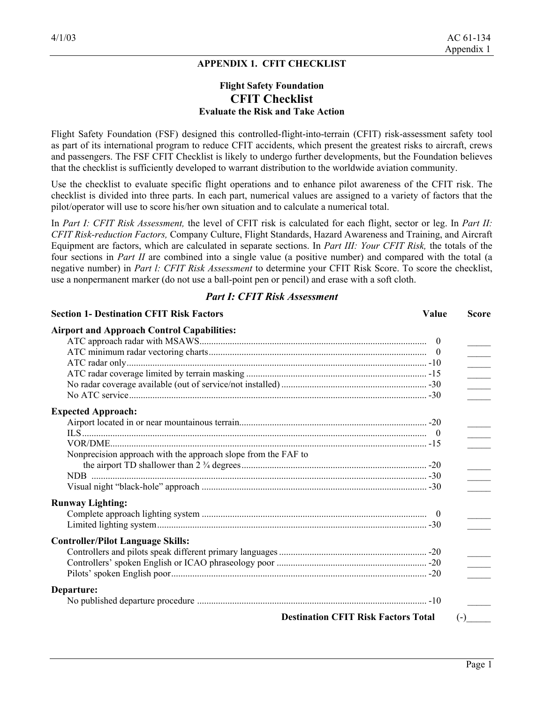# **APPENDIX 1. CFIT CHECKLIST**

# **Flight Safety Foundation CFIT Checklist Evaluate the Risk and Take Action**

Flight Safety Foundation (FSF) designed this controlled-flight-into-terrain (CFIT) risk-assessment safety tool as part of its international program to reduce CFIT accidents, which present the greatest risks to aircraft, crews and passengers. The FSF CFIT Checklist is likely to undergo further developments, but the Foundation believes that the checklist is sufficiently developed to warrant distribution to the worldwide aviation community.

Use the checklist to evaluate specific flight operations and to enhance pilot awareness of the CFIT risk. The checklist is divided into three parts. In each part, numerical values are assigned to a variety of factors that the pilot/operator will use to score his/her own situation and to calculate a numerical total.

In *Part I: CFIT Risk Assessment,* the level of CFIT risk is calculated for each flight, sector or leg. In *Part II: CFIT Risk-reduction Factors,* Company Culture, Flight Standards, Hazard Awareness and Training, and Aircraft Equipment are factors, which are calculated in separate sections. In *Part III: Your CFIT Risk,* the totals of the four sections in *Part II* are combined into a single value (a positive number) and compared with the total (a negative number) in *Part l: CFIT Risk Assessment* to determine your CFIT Risk Score. To score the checklist, use a nonpermanent marker (do not use a ball-point pen or pencil) and erase with a soft cloth.

# *Part I: CFIT Risk Assessment*

| <b>Section 1- Destination CFIT Risk Factors</b>               | Value | <b>Score</b>             |
|---------------------------------------------------------------|-------|--------------------------|
| <b>Airport and Approach Control Capabilities:</b>             |       |                          |
|                                                               |       | $\mathbb{R}$             |
|                                                               |       | $\overline{\phantom{a}}$ |
|                                                               |       |                          |
| <b>Expected Approach:</b>                                     |       |                          |
|                                                               |       |                          |
|                                                               |       |                          |
| Nonprecision approach with the approach slope from the FAF to |       | $\overline{\phantom{a}}$ |
|                                                               |       |                          |
|                                                               |       |                          |
| <b>Runway Lighting:</b>                                       |       |                          |
| <b>Controller/Pilot Language Skills:</b>                      |       |                          |
|                                                               |       |                          |
|                                                               |       |                          |
| Departure:                                                    |       |                          |
| <b>Destination CFIT Risk Factors Total</b>                    |       | $(-)$                    |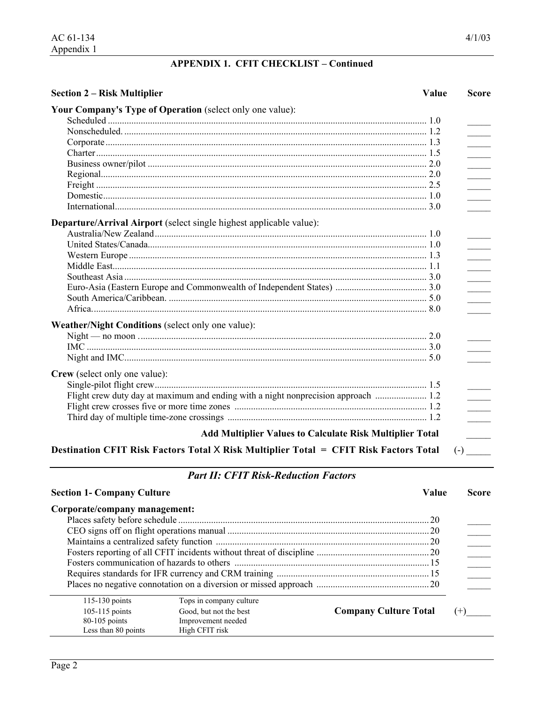# **APPENDIX 1. CFIT CHECKLIST - Continued**

| <b>Section 2 – Risk Multiplier</b>                                                    | Value | <b>Score</b>                 |
|---------------------------------------------------------------------------------------|-------|------------------------------|
| Your Company's Type of Operation (select only one value):                             |       |                              |
|                                                                                       |       |                              |
|                                                                                       |       | $\mathcal{L}_{\text{max}}$ . |
|                                                                                       |       | $\mathcal{L}$                |
|                                                                                       |       | $\overline{\phantom{a}}$     |
|                                                                                       |       | $\overline{\phantom{a}}$     |
|                                                                                       |       | $\mathcal{L}$                |
|                                                                                       |       | $\mathcal{L}^{\mathcal{L}}$  |
|                                                                                       |       |                              |
|                                                                                       |       |                              |
| Departure/Arrival Airport (select single highest applicable value):                   |       |                              |
|                                                                                       |       |                              |
|                                                                                       |       |                              |
|                                                                                       |       | $\overline{a}$               |
|                                                                                       |       | $\mathcal{L}(\mathcal{L})$   |
|                                                                                       |       |                              |
|                                                                                       |       |                              |
|                                                                                       |       |                              |
|                                                                                       |       |                              |
| Weather/Night Conditions (select only one value):                                     |       |                              |
|                                                                                       |       |                              |
|                                                                                       |       |                              |
|                                                                                       |       |                              |
| Crew (select only one value):                                                         |       |                              |
|                                                                                       |       |                              |
| Flight crew duty day at maximum and ending with a night nonprecision approach  1.2    |       | $\overline{\phantom{a}}$     |
|                                                                                       |       | $\mathcal{L}^{\text{max}}$   |
|                                                                                       |       |                              |
| <b>Add Multiplier Values to Calculate Risk Multiplier Total</b>                       |       |                              |
| Destination CFIT Risk Factors Total X Risk Multiplier Total = CFIT Risk Factors Total |       | $(-)$                        |

| <b>Part II: CFIT Risk-Reduction Factors</b> |
|---------------------------------------------|
|---------------------------------------------|

| <b>Section 1- Company Culture</b><br>Value |                         |                              | Score |
|--------------------------------------------|-------------------------|------------------------------|-------|
| Corporate/company management:              |                         |                              |       |
|                                            |                         |                              |       |
|                                            |                         |                              |       |
|                                            |                         |                              |       |
|                                            |                         |                              |       |
|                                            |                         |                              |       |
|                                            |                         |                              |       |
|                                            |                         |                              |       |
| $115-130$ points                           | Tops in company culture |                              |       |
| $105-115$ points                           | Good, but not the best  | <b>Company Culture Total</b> | $(+)$ |
| $80-105$ points                            | Improvement needed      |                              |       |
| Less than 80 points                        | High CFIT risk          |                              |       |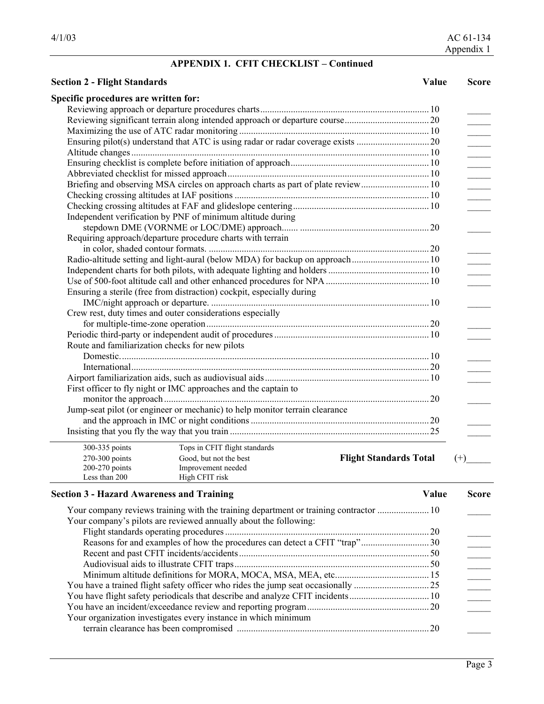# **APPENDIX 1. CFIT CHECKLIST – Continued**

| <b>Section 2 - Flight Standards</b>                                                   |                                                                                  |       | <b>Score</b>                |
|---------------------------------------------------------------------------------------|----------------------------------------------------------------------------------|-------|-----------------------------|
| Specific procedures are written for:                                                  |                                                                                  |       |                             |
|                                                                                       |                                                                                  |       |                             |
|                                                                                       |                                                                                  |       |                             |
|                                                                                       |                                                                                  |       |                             |
| Ensuring pilot(s) understand that ATC is using radar or radar coverage exists 20      |                                                                                  |       | $\mathcal{L}^{\mathcal{L}}$ |
|                                                                                       |                                                                                  |       |                             |
|                                                                                       |                                                                                  |       |                             |
|                                                                                       |                                                                                  |       |                             |
|                                                                                       | Briefing and observing MSA circles on approach charts as part of plate review 10 |       |                             |
|                                                                                       |                                                                                  |       |                             |
|                                                                                       |                                                                                  |       |                             |
|                                                                                       | Independent verification by PNF of minimum altitude during                       |       |                             |
|                                                                                       |                                                                                  |       |                             |
|                                                                                       | Requiring approach/departure procedure charts with terrain                       |       |                             |
|                                                                                       |                                                                                  |       |                             |
|                                                                                       |                                                                                  |       |                             |
|                                                                                       |                                                                                  |       | $\mathcal{L}^{\text{max}}$  |
|                                                                                       |                                                                                  |       |                             |
|                                                                                       | Ensuring a sterile (free from distraction) cockpit, especially during            |       |                             |
|                                                                                       |                                                                                  |       |                             |
|                                                                                       | Crew rest, duty times and outer considerations especially                        |       |                             |
|                                                                                       |                                                                                  |       |                             |
|                                                                                       |                                                                                  |       |                             |
| Route and familiarization checks for new pilots                                       |                                                                                  |       |                             |
|                                                                                       |                                                                                  |       |                             |
|                                                                                       |                                                                                  |       |                             |
|                                                                                       |                                                                                  |       |                             |
|                                                                                       |                                                                                  |       |                             |
|                                                                                       | First officer to fly night or IMC approaches and the captain to                  |       |                             |
|                                                                                       |                                                                                  |       |                             |
|                                                                                       | Jump-seat pilot (or engineer or mechanic) to help monitor terrain clearance      |       |                             |
|                                                                                       |                                                                                  |       |                             |
|                                                                                       |                                                                                  |       |                             |
| 300-335 points                                                                        | Tops in CFIT flight standards                                                    |       |                             |
| 270-300 points                                                                        | <b>Flight Standards Total</b><br>Good, but not the best                          |       | $(+)$                       |
| 200-270 points                                                                        | Improvement needed                                                               |       |                             |
| Less than 200                                                                         | High CFIT risk                                                                   |       |                             |
| <b>Section 3 - Hazard Awareness and Training</b>                                      |                                                                                  | Value | <b>Score</b>                |
| Your company reviews training with the training department or training contractor  10 |                                                                                  |       |                             |
|                                                                                       | Your company's pilots are reviewed annually about the following:                 |       |                             |
|                                                                                       |                                                                                  |       |                             |
| Reasons for and examples of how the procedures can detect a CFIT "trap"30             |                                                                                  |       |                             |
|                                                                                       |                                                                                  |       |                             |
|                                                                                       |                                                                                  |       |                             |
|                                                                                       |                                                                                  |       |                             |
|                                                                                       |                                                                                  |       |                             |
|                                                                                       |                                                                                  |       |                             |
|                                                                                       |                                                                                  |       |                             |

You have an incident/exceedance review and reporting program....................................................20 \_\_\_\_\_

terrain clearance has been compromised ..................................................................................20 \_\_\_\_\_

Your organization investigates every instance in which minimum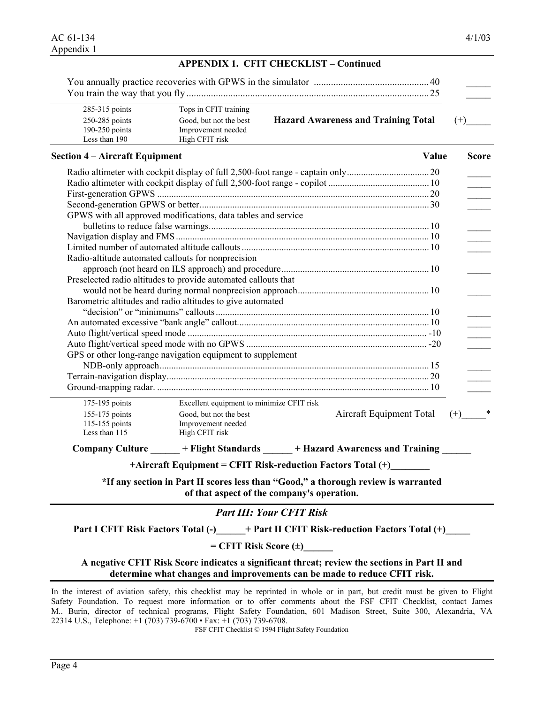# **APPENDIX 1. CFIT CHECKLIST – Continued**

|                |                        | $-40$                                      |  |
|----------------|------------------------|--------------------------------------------|--|
| 285-315 points | Tops in CFIT training  |                                            |  |
| 250-285 points | Good, but not the best | <b>Hazard Awareness and Training Total</b> |  |
| 190-250 points | Improvement needed     |                                            |  |
| Less than 190  | High CFIT risk         |                                            |  |

# **Section 4 – Aircraft Equipment Value Score**  Radio altimeter with cockpit display of full 2,500-foot range - captain only...................................20 \_\_\_\_\_ Radio altimeter with cockpit display of full 2,500-foot range - copilot ...........................................10 \_\_\_\_\_ First-generation GPWS ....................................................................................................................20 \_\_\_\_\_ Second-generation GPWS or better..................................................................................................30 \_\_\_\_\_ GPWS with all approved modifications, data tables and service bulletins to reduce false warnings..............................................................................................10 \_\_\_\_\_ Navigation display and FMS............................................................................................................10 \_\_\_\_\_ Limited number of automated altitude callouts................................................................................10 \_\_\_\_\_ Radio-altitude automated callouts for nonprecision approach (not heard on ILS approach) and procedure...............................................................10 \_\_\_\_\_ Preselected radio altitudes to provide automated callouts that would not be heard during normal nonprecision approach........................................................10 \_\_\_\_\_ Barometric altitudes and radio altitudes to give automated "decision" or "minimums" callouts...........................................................................................10 \_\_\_\_\_ An automated excessive "bank angle" callout..................................................................................10 \_\_\_\_\_ Auto flight/vertical speed mode ...................................................................................................... -10 \_\_\_\_\_ Auto flight/vertical speed mode with no GPWS ............................................................................. -20 \_\_\_\_\_ GPS or other long-range navigation equipment to supplement NDB-only approach...................................................................................................................15 \_\_\_\_\_ Terrain-navigation display................................................................................................................20 \_\_\_\_\_ Ground-mapping radar. ....................................................................................................................10 \_\_\_\_\_ 175-195 points Excellent equipment to minimize CFIT risk 155-175 points Good, but not the best Aircraft Equipment Total  $(+)$  \* Improvement needed Less than 115 High CFIT risk Company Culture  $\qquad$  + Flight Standards  $\qquad$  + Hazard Awareness and Training **+Aircraft Equipment = CFIT Risk-reduction Factors Total (+)\_\_\_\_\_\_\_\_ \*If any section in Part II scores less than "Good," a thorough review is warranted**

**of that aspect of the company's operation.** 

# *Part III: Your CFIT Risk*

Part I CFIT Risk Factors Total (-)  $+$  Part II CFIT Risk-reduction Factors Total (+)

**= CFIT Risk Score (±)\_\_\_\_\_\_**

#### **A negative CFIT Risk Score indicates a significant threat; review the sections in Part II and determine what changes and improvements can be made to reduce CFIT risk.**

In the interest of aviation safety, this checklist may be reprinted in whole or in part, but credit must be given to Flight Safety Foundation. To request more information or to offer comments about the FSF CFIT Checklist, contact James M.. Burin, director of technical programs, Flight Safety Foundation, 601 Madison Street, Suite 300, Alexandria, VA 22314 U.S., Telephone: +1 (703) 739-6700 • Fax: +1 (703) 739-6708.

FSF CFIT Checklist © 1994 Flight Safety Foundation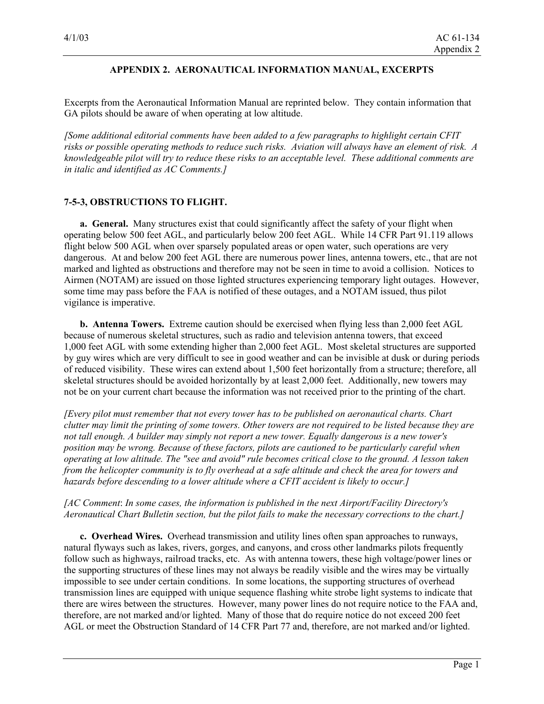#### **APPENDIX 2. AERONAUTICAL INFORMATION MANUAL, EXCERPTS**

Excerpts from the Aeronautical Information Manual are reprinted below. They contain information that GA pilots should be aware of when operating at low altitude.

*[Some additional editorial comments have been added to a few paragraphs to highlight certain CFIT risks or possible operating methods to reduce such risks. Aviation will always have an element of risk. A knowledgeable pilot will try to reduce these risks to an acceptable level. These additional comments are in italic and identified as AC Comments.]*

#### **7-5-3, OBSTRUCTIONS TO FLIGHT.**

**a. General.** Many structures exist that could significantly affect the safety of your flight when operating below 500 feet AGL, and particularly below 200 feet AGL. While 14 CFR Part 91.119 allows flight below 500 AGL when over sparsely populated areas or open water, such operations are very dangerous. At and below 200 feet AGL there are numerous power lines, antenna towers, etc., that are not marked and lighted as obstructions and therefore may not be seen in time to avoid a collision. Notices to Airmen (NOTAM) are issued on those lighted structures experiencing temporary light outages. However, some time may pass before the FAA is notified of these outages, and a NOTAM issued, thus pilot vigilance is imperative.

**b. Antenna Towers.** Extreme caution should be exercised when flying less than 2,000 feet AGL because of numerous skeletal structures, such as radio and television antenna towers, that exceed 1,000 feet AGL with some extending higher than 2,000 feet AGL. Most skeletal structures are supported by guy wires which are very difficult to see in good weather and can be invisible at dusk or during periods of reduced visibility. These wires can extend about 1,500 feet horizontally from a structure; therefore, all skeletal structures should be avoided horizontally by at least 2,000 feet. Additionally, new towers may not be on your current chart because the information was not received prior to the printing of the chart.

*[Every pilot must remember that not every tower has to be published on aeronautical charts. Chart clutter may limit the printing of some towers. Other towers are not required to be listed because they are not tall enough. A builder may simply not report a new tower. Equally dangerous is a new tower's position may be wrong. Because of these factors, pilots are cautioned to be particularly careful when operating at low altitude. The "see and avoid" rule becomes critical close to the ground. A lesson taken from the helicopter community is to fly overhead at a safe altitude and check the area for towers and hazards before descending to a lower altitude where a CFIT accident is likely to occur.]*

#### *[AC Comment*: *In some cases, the information is published in the next Airport/Facility Directory's Aeronautical Chart Bulletin section, but the pilot fails to make the necessary corrections to the chart.]*

**c. Overhead Wires.** Overhead transmission and utility lines often span approaches to runways, natural flyways such as lakes, rivers, gorges, and canyons, and cross other landmarks pilots frequently follow such as highways, railroad tracks, etc. As with antenna towers, these high voltage/power lines or the supporting structures of these lines may not always be readily visible and the wires may be virtually impossible to see under certain conditions. In some locations, the supporting structures of overhead transmission lines are equipped with unique sequence flashing white strobe light systems to indicate that there are wires between the structures. However, many power lines do not require notice to the FAA and, therefore, are not marked and/or lighted. Many of those that do require notice do not exceed 200 feet AGL or meet the Obstruction Standard of 14 CFR Part 77 and, therefore, are not marked and/or lighted.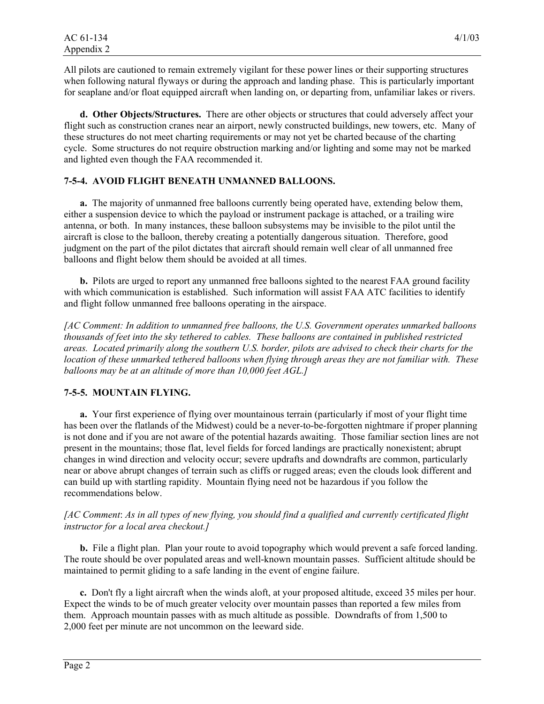All pilots are cautioned to remain extremely vigilant for these power lines or their supporting structures when following natural flyways or during the approach and landing phase. This is particularly important for seaplane and/or float equipped aircraft when landing on, or departing from, unfamiliar lakes or rivers.

**d. Other Objects/Structures.** There are other objects or structures that could adversely affect your flight such as construction cranes near an airport, newly constructed buildings, new towers, etc. Many of these structures do not meet charting requirements or may not yet be charted because of the charting cycle. Some structures do not require obstruction marking and/or lighting and some may not be marked and lighted even though the FAA recommended it.

# **7-5-4. AVOID FLIGHT BENEATH UNMANNED BALLOONS.**

**a.** The majority of unmanned free balloons currently being operated have, extending below them, either a suspension device to which the payload or instrument package is attached, or a trailing wire antenna, or both. In many instances, these balloon subsystems may be invisible to the pilot until the aircraft is close to the balloon, thereby creating a potentially dangerous situation. Therefore, good judgment on the part of the pilot dictates that aircraft should remain well clear of all unmanned free balloons and flight below them should be avoided at all times.

**b.** Pilots are urged to report any unmanned free balloons sighted to the nearest FAA ground facility with which communication is established. Such information will assist FAA ATC facilities to identify and flight follow unmanned free balloons operating in the airspace.

*[AC Comment: In addition to unmanned free balloons, the U.S. Government operates unmarked balloons thousands of feet into the sky tethered to cables. These balloons are contained in published restricted areas. Located primarily along the southern U.S. border, pilots are advised to check their charts for the location of these unmarked tethered balloons when flying through areas they are not familiar with. These balloons may be at an altitude of more than 10,000 feet AGL.]*

# **7-5-5. MOUNTAIN FLYING.**

**a.** Your first experience of flying over mountainous terrain (particularly if most of your flight time has been over the flatlands of the Midwest) could be a never-to-be-forgotten nightmare if proper planning is not done and if you are not aware of the potential hazards awaiting. Those familiar section lines are not present in the mountains; those flat, level fields for forced landings are practically nonexistent; abrupt changes in wind direction and velocity occur; severe updrafts and downdrafts are common, particularly near or above abrupt changes of terrain such as cliffs or rugged areas; even the clouds look different and can build up with startling rapidity. Mountain flying need not be hazardous if you follow the recommendations below.

#### *[AC Comment*: *As in all types of new flying, you should find a qualified and currently certificated flight instructor for a local area checkout.]*

**b.** File a flight plan. Plan your route to avoid topography which would prevent a safe forced landing. The route should be over populated areas and well-known mountain passes. Sufficient altitude should be maintained to permit gliding to a safe landing in the event of engine failure.

**c.** Don't fly a light aircraft when the winds aloft, at your proposed altitude, exceed 35 miles per hour. Expect the winds to be of much greater velocity over mountain passes than reported a few miles from them. Approach mountain passes with as much altitude as possible. Downdrafts of from 1,500 to 2,000 feet per minute are not uncommon on the leeward side.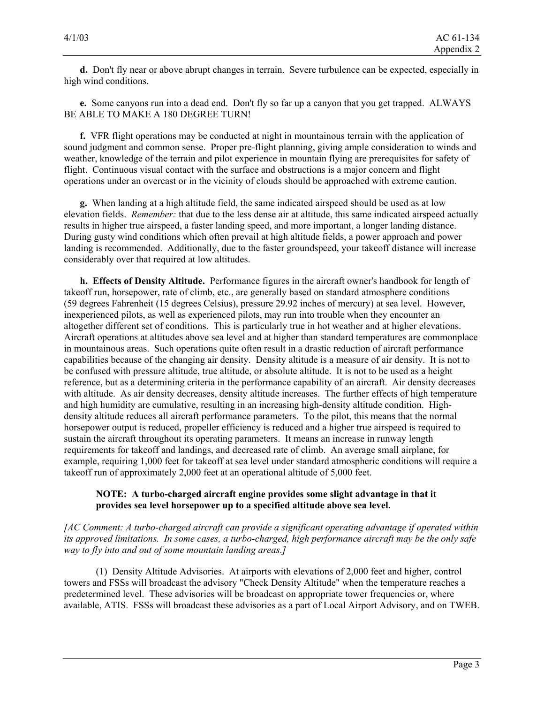**d.** Don't fly near or above abrupt changes in terrain. Severe turbulence can be expected, especially in high wind conditions.

**e.** Some canyons run into a dead end. Don't fly so far up a canyon that you get trapped. ALWAYS BE ABLE TO MAKE A 180 DEGREE TURN!

**f.** VFR flight operations may be conducted at night in mountainous terrain with the application of sound judgment and common sense. Proper pre-flight planning, giving ample consideration to winds and weather, knowledge of the terrain and pilot experience in mountain flying are prerequisites for safety of flight. Continuous visual contact with the surface and obstructions is a major concern and flight operations under an overcast or in the vicinity of clouds should be approached with extreme caution.

**g.** When landing at a high altitude field, the same indicated airspeed should be used as at low elevation fields. *Remember:* that due to the less dense air at altitude, this same indicated airspeed actually results in higher true airspeed, a faster landing speed, and more important, a longer landing distance. During gusty wind conditions which often prevail at high altitude fields, a power approach and power landing is recommended. Additionally, due to the faster groundspeed, your takeoff distance will increase considerably over that required at low altitudes.

**h. Effects of Density Altitude.** Performance figures in the aircraft owner's handbook for length of takeoff run, horsepower, rate of climb, etc., are generally based on standard atmosphere conditions (59 degrees Fahrenheit (15 degrees Celsius), pressure 29.92 inches of mercury) at sea level. However, inexperienced pilots, as well as experienced pilots, may run into trouble when they encounter an altogether different set of conditions. This is particularly true in hot weather and at higher elevations. Aircraft operations at altitudes above sea level and at higher than standard temperatures are commonplace in mountainous areas. Such operations quite often result in a drastic reduction of aircraft performance capabilities because of the changing air density. Density altitude is a measure of air density. It is not to be confused with pressure altitude, true altitude, or absolute altitude. It is not to be used as a height reference, but as a determining criteria in the performance capability of an aircraft. Air density decreases with altitude. As air density decreases, density altitude increases. The further effects of high temperature and high humidity are cumulative, resulting in an increasing high-density altitude condition. Highdensity altitude reduces all aircraft performance parameters. To the pilot, this means that the normal horsepower output is reduced, propeller efficiency is reduced and a higher true airspeed is required to sustain the aircraft throughout its operating parameters. It means an increase in runway length requirements for takeoff and landings, and decreased rate of climb. An average small airplane, for example, requiring 1,000 feet for takeoff at sea level under standard atmospheric conditions will require a takeoff run of approximately 2,000 feet at an operational altitude of 5,000 feet.

#### **NOTE: A turbo-charged aircraft engine provides some slight advantage in that it provides sea level horsepower up to a specified altitude above sea level.**

*[AC Comment: A turbo-charged aircraft can provide a significant operating advantage if operated within its approved limitations. In some cases, a turbo-charged, high performance aircraft may be the only safe way to fly into and out of some mountain landing areas.]* 

(1) Density Altitude Advisories. At airports with elevations of 2,000 feet and higher, control towers and FSSs will broadcast the advisory "Check Density Altitude" when the temperature reaches a predetermined level. These advisories will be broadcast on appropriate tower frequencies or, where available, ATIS. FSSs will broadcast these advisories as a part of Local Airport Advisory, and on TWEB.